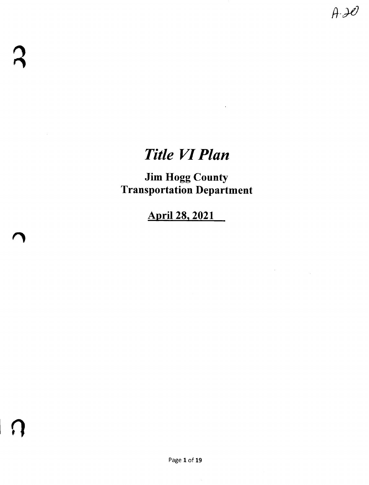$A - D$ 

In

# *Title VI Plan*

**Jim Hogg County Transportation Department**

**April 28, 2021**

 $\sim 10^{-10}$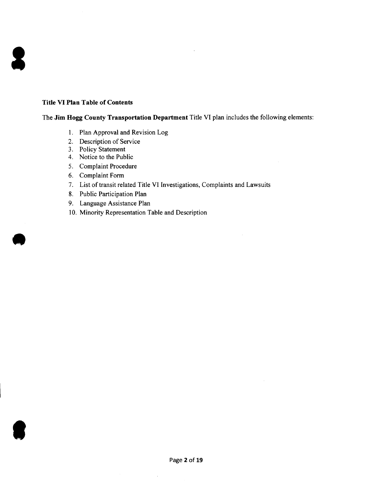#### **Title VI Plan Table of Contents**

8

**C** 

#### The **Jim Hogg County Transportation Department** Title VI plan includes the following elements:

- 1. Plan Approval and Revision Log
- 2. Description of Service
- 3. Policy Statement
- 4. Notice to the Public
- 5. Complaint Procedure
- 6. Complaint Form
- 7. List of transit related Title VI Investigations, Complaints and Lawsuits
- 8. Public Participation Plan
- 9. Language Assistance Plan
- 10. Minority Representation Table and Description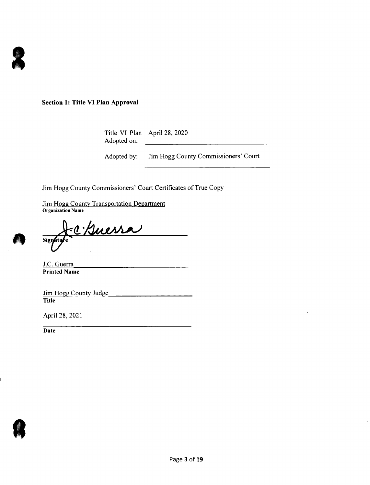

#### Section 1: Title VI Plan Approval

Title VI Plan April 28, 2020 Adopted on:

Adopted by: Jim Hogg County Commissioners' Court

Jim Hogg County Commissioners' Court Certificates of True Copy

Jim Hogg County Transportation Department Organization Name

<u>c'Auer</u> Signaty

J.C. Guerra Printed Name

Jim Hogg County Judge Title

April 28, 2021

Date

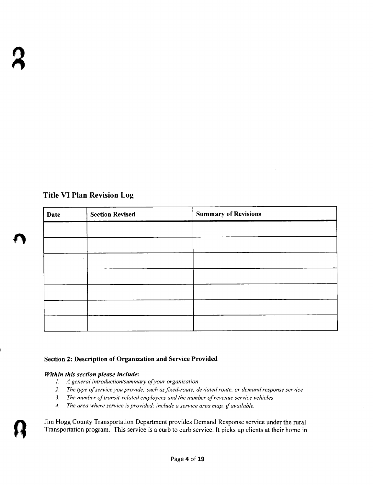## Title VI Plan Revision Log

| Date | <b>Section Revised</b> | <b>Summary of Revisions</b> |  |  |  |
|------|------------------------|-----------------------------|--|--|--|
|      |                        |                             |  |  |  |
|      |                        |                             |  |  |  |
|      |                        |                             |  |  |  |
|      |                        |                             |  |  |  |
|      |                        |                             |  |  |  |
|      |                        |                             |  |  |  |
|      |                        |                             |  |  |  |

## Section 2: Description of Organization and Service Provided

## *Within this section please include:*

- *1. A general introduction/summary of your organization*
- *2. The type 0/service you provide; such asfixed-route, deviated route, or demand response service*
- *3. The number of transit-related employees and the number of revenue service vehicles*
- *4. The area where service* is *provided; include a service area map, if available.*

Jim Hogg County Transportation Department provides Demand Response service under the rural Transportation program. This service is a curb to curb service. It picks up clients at their home in

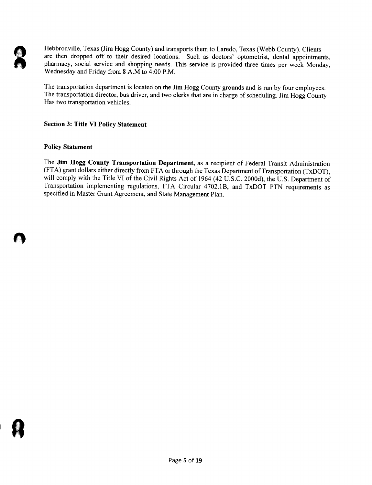**P** 

Hebbronville, Texas (Jim Hogg County) and transports them to Laredo, Texas (Webb County). Clients are then dropped off to their desired locations. Such as doctors' optometrist, dental appointments, pharmacy, social service and shopping needs. This service is provided three times per week Monday, Wednesday and Friday from 8 A.M to 4:00 P.M.

The transportation department is located on the Jim Hogg County grounds and is run by four employees. The transportation director, bus driver, and two clerks that are in charge of scheduling. Jim Hogg County Has two transportation vehicles.

## Section 3: Title VI Policy Statement

## Policy Statement

The Jim Hogg County Transportation Department, as a recipient of Federal Transit Administration (FTA) grant dollars either directly from FTA or through the Texas Department of Transportation (TxDOT), will comply with the Title VI of the Civil Rights Act of 1964 (42 U.S.C. 2000d), the U.S. Department of Transportation implementing regulations, FTA Circular 4702.1B, and TxDOT PTN requirements as specified in Master Grant Agreement, and State Management Plan.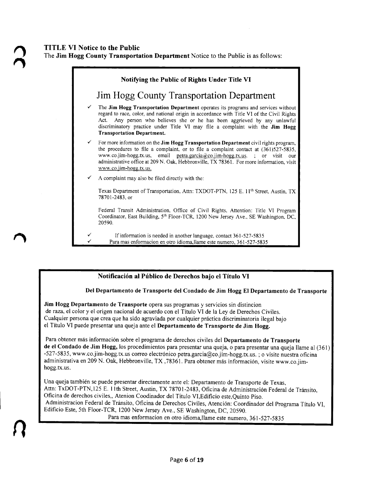## TITLE VI Notice to the Public

The Jim Hogg County Transportation Department Notice to the Public is as follows:

| <b>Notifying the Public of Rights Under Title VI</b> |                                                                                                                                                                                                                                                                                                                                                                                                   |  |  |  |  |  |  |
|------------------------------------------------------|---------------------------------------------------------------------------------------------------------------------------------------------------------------------------------------------------------------------------------------------------------------------------------------------------------------------------------------------------------------------------------------------------|--|--|--|--|--|--|
| <b>Jim Hogg County Transportation Department</b>     |                                                                                                                                                                                                                                                                                                                                                                                                   |  |  |  |  |  |  |
| ✓                                                    | The Jim Hogg Transportation Department operates its programs and services without<br>regard to race, color, and national origin in accordance with Title VI of the Civil Rights<br>Any person who believes she or he has been aggrieved by any unlawful<br>Act.<br>discriminatory practice under Title VI may file a complaint with the Jim Hogg<br><b>Transportation Department.</b>             |  |  |  |  |  |  |
| ✓                                                    | For more information on the <b>Jim Hogg Transportation Department</b> civil rights program,<br>the procedures to file a complaint, or to file a complaint contact at $(361)527-5835$ ,<br>www.co.jim-hogg.tx.us, email petra.garcia@co.jim-hogg.tx.us. ; or<br>visit<br>our<br>administrative office at 209 N. Oak, Hebbronville, TX 78361. For more information, visit<br>www.co.jim-hogg.tx.us. |  |  |  |  |  |  |
| ✓                                                    | A complaint may also be filed directly with the:                                                                                                                                                                                                                                                                                                                                                  |  |  |  |  |  |  |
|                                                      | Texas Department of Transportation, Attn: TXDOT-PTN, 125 E. 11 <sup>th</sup> Street, Austin, TX<br>78701-2483, or                                                                                                                                                                                                                                                                                 |  |  |  |  |  |  |
|                                                      | Federal Transit Administration, Office of Civil Rights, Attention: Title VI Program<br>Coordinator, East Building, 5th Floor-TCR, 1200 New Jersey Ave., SE Washington, DC,<br>20590.                                                                                                                                                                                                              |  |  |  |  |  |  |
|                                                      | If information is needed in another language, contact 361-527-5835<br>Para mas enformacion en otro idioma, llame este numero, 361-527-5835                                                                                                                                                                                                                                                        |  |  |  |  |  |  |

## Notificaci6n al Publico de Derechos bajo el Titulo VI

#### Del Departamento de Transporte del Condado de Jim Hogg EI Departamento de Transporte

Jim Hogg Departamento de Transporte opera sus programas y servicios sin distincion de raza, el color y el origen nacional de acuerdo con el Titulo VI de la Ley de Derechos Civiles. Cualquier persona que crea que ha sido agraviada por cualquier practica discriminatoria ilegal bajo el Titulo VI puede presentar una queja ante el Departamento de Transporte de Jim Hogg.

Para obtener más información sobre el programa de derechos civiles del Departamento de Transporte de el Condado de Jim Hogg, los procedimientos para presentar una queja, 0 para presentar una queja llame al (361) -527-5835, www.co.jim-hogg.tx.us correo electrónico petra.garcia@co.jim-hogg.tx.us. ; o visite nuestra oficina administrativa en 209 N. Oak, Hebbronville, TX,78361. Para obtener más información, visite www.co.jimhogg.tx.us.

Una queja tambien se puede presentar directamente ante el: Departamento de Transporte de Texas, Attn: TxDOT-PTN, 125 E. 11th Street, Austin, TX 78701-2483, Oficina de Administración Federal de Tránsito, Oficina de derechos civiles,, Atenion Coodinador del Titulo VI, Edificio este, Quinto Piso. Administracion Federal de Tránsito, Oficina de Derechos Civiles, Atención: Coordinador del Programa Título VI, Edificio Este, 5th Floor-TCR, 1200 New Jersey Ave., SE Washington, DC, 20590. Para mas enformacion en otro idioma,llame este numero, 361-527-5835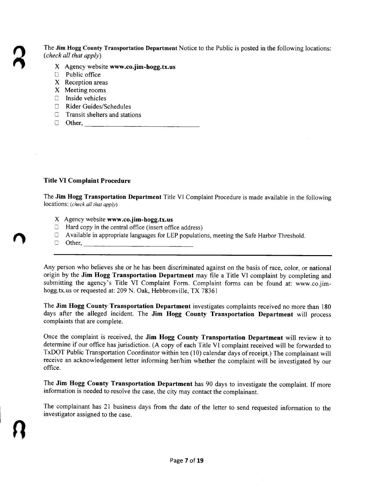The Jim Hogg County Transportation Department Notice to the Public is posted in the following locations: *(check all that apply)*

- X Agency website www.co.jim-hogg.tx.us
- [J Public office
- X Reception areas
- X Meeting rooms
- <sup>1</sup> Inside vehicles
- Rider Guides/Schedules
- $\Box$  Transit shelters and stations
- [J Other, -------------------------------

## Title VI Complaint Procedure

The Jim Hogg Transportation Department Title VI Complaint Procedure is made available in the following locations:*(check all that apply)*

- X Agency website www.co.jim-hogg.tx.us
- $\Box$  Hard copy in the central office (insert office address)
- $\Box$  Available in appropriate languages for LEP populations, meeting the Safe Harbor Threshold.<br> $\Box$  Other.
- o Other, ------------------------------

Any person who believes she or he has been discriminated against on the basis of race, color, or national origin by the Jim Hogg Transportation Department may file a Title VI complaint by completing and submitting the agency's Title VI Complaint Form. Complaint forms can be found at: www.co.jimhogg.tx.us or requested at: 209 N. Oak, Hebbronville, TX 78361

The Jim Hogg County Transportation Department investigates complaints received no more than 180 days after the alleged incident. The Jim Hogg County Transportation Department will process complaints that are complete.

Once the complaint is received, the Jim Hogg County Transportation Department will review it to determine if our office has jurisdiction. (A copy of each Title VI complaint received will be forwarded to TxDOT Public Transportation Coordinator within ten (10) calendar days of receipt.) The complainant will receive an acknowledgement letter informing her/him whether the complaint will be investigated by our office.

The Jim Hogg County Transportation Department has 90 days to investigate the complaint. If more information is needed to resolve the case, the city may contact the complainant.

The complainant has 21 business days from the date of the letter to send requested information to the investigator assigned to the case.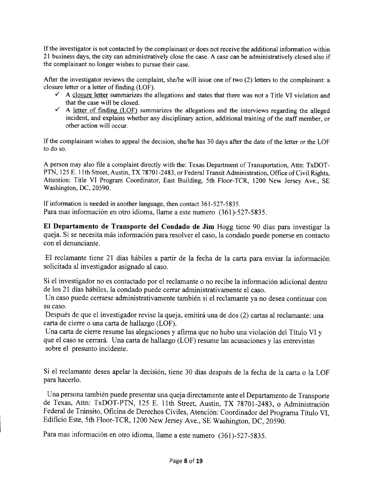If the investigator is not contacted by the complainant or does not receive the additional information within 21 business days, the city can administratively close the case. A case can be administratively closed also if the complainant no longer wishes to pursue their case.

After the investigator reviews the complaint, she/he will issue one of two (2) letters to the complainant: a closure letter or a letter of finding (LOF).

- $\checkmark$  A closure letter summarizes the allegations and states that there was not a Title VI violation and that the case will be closed.
- $\checkmark$  A letter of finding (LOF) summarizes the allegations and the interviews regarding the alleged incident, and explains whether any disciplinary action, additional training of the staff member, or other action will occur.

If the complainant wishes to appeal the decision, she/he has 30 days after the date of the letter or the LOF to do so.

A person may also file a complaint directly with the: Texas Department of Transportation, Attn: TxDOT-PTN, 125 E. 11th Street, Austin, TX 78701-2483, or Federal Transit Administration, Office of Civil Rights, Attention: Title VI Program Coordinator, East Building, 5th Floor-TCR, 1200 New Jersey Ave., SE Washington, DC, 20590.

If information is needed in another language, then contact 361-527-5835. Para mas información en otro idioma, llame a este numero (361)-527-5835.

**El Departamento de Transporte del Condado de Jim** Hogg tiene 90 dias para investigar la queja. Si se necesita más información para resolver el caso, la condado puede ponerse en contacto con el denunciante.

El reclamante tiene 21 días hábiles a partir de la fecha de la carta para enviar la información solicitada al investigador asignado al caso.

Si el investigador no es contactado por el reclamante o no recibe la información adicional dentro de los 21 dias habiles, la condado puede cerrar administrativamente el caso.

Un caso puede cerrarse administrativamente tambien si el reclamante ya no desea continuar con su caso.

Después de que el investigador revise la queja, emitirá una de dos (2) cartas al reclamante: una carta de cierre o una carta de hallazgo (LOF).

Una carta de cierre resume las alegaciones y afirma que no hubo una violación del Título VI y que el caso se cerrara. Una carta de hallazgo (LOF) resume las acusaciones y las entrevistas sobre el presunto incidente.

Si el reclamante desea apelar la decisión, tiene 30 días después de la fecha de la carta o la LOF para hacerlo.

Una persona tambien puede presentar una queja directamente ante el Departamento de Transporte de Texas, Attn: TxDOT-PTN, 125 E. 11th Street, Austin, TX 78701-2483, 0 Administraci6n Federal de Tránsito, Oficina de Derechos Civiles, Atención: Coordinador del Programa Título VI, Edificio Este, 5th Floor-TCR, 1200 New Jersey Ave., SE Washington, DC, 20590.

Para mas información en otro idioma, llame a este numero (361)-527-5835.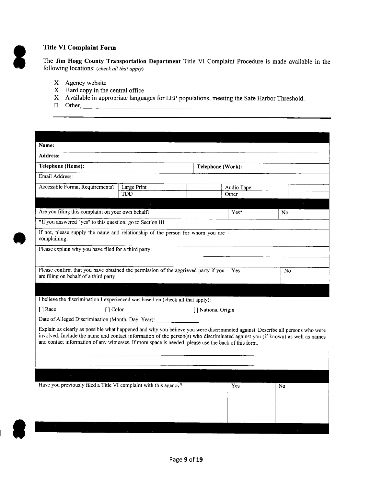## Title VI Complaint Form

The Jim Hogg County Transportation Department Title VI Complaint Procedure is made available in the following locations: *(check all that apply)*

- X Agency website
- X Hard copy in the central office
- X Available in appropriate languages for LEP populations, meeting the Safe Harbor Threshold.
- D Other, \_

8

**•** 

**B** 

| Name:                                                                                                                                                                                                                                                                                                                                                                   |             |                    |        |                |
|-------------------------------------------------------------------------------------------------------------------------------------------------------------------------------------------------------------------------------------------------------------------------------------------------------------------------------------------------------------------------|-------------|--------------------|--------|----------------|
| Address:                                                                                                                                                                                                                                                                                                                                                                |             |                    |        |                |
| Telephone (Home):                                                                                                                                                                                                                                                                                                                                                       |             |                    |        |                |
| Email Address:                                                                                                                                                                                                                                                                                                                                                          |             |                    |        |                |
| Accessible Format Requirements?                                                                                                                                                                                                                                                                                                                                         | Large Print | Audio Tape         |        |                |
|                                                                                                                                                                                                                                                                                                                                                                         | <b>TDD</b>  |                    | Other  |                |
|                                                                                                                                                                                                                                                                                                                                                                         |             |                    |        |                |
| Are you filing this complaint on your own behalf?                                                                                                                                                                                                                                                                                                                       |             |                    | $Yes*$ | No.            |
| *If you answered "yes" to this question, go to Section III.                                                                                                                                                                                                                                                                                                             |             |                    |        |                |
| If not, please supply the name and relationship of the person for whom you are<br>complaining:                                                                                                                                                                                                                                                                          |             |                    |        |                |
| Please explain why you have filed for a third party:                                                                                                                                                                                                                                                                                                                    |             |                    |        |                |
|                                                                                                                                                                                                                                                                                                                                                                         |             |                    |        |                |
| Please confirm that you have obtained the permission of the aggrieved party if you<br>are filing on behalf of a third party.                                                                                                                                                                                                                                            |             |                    | Yes    | No             |
|                                                                                                                                                                                                                                                                                                                                                                         |             |                    |        |                |
| I believe the discrimination I experienced was based on (check all that apply):                                                                                                                                                                                                                                                                                         |             |                    |        |                |
| [] Race<br>[] Color                                                                                                                                                                                                                                                                                                                                                     |             | [] National Origin |        |                |
| Date of Alleged Discrimination (Month, Day, Year): ______________________________                                                                                                                                                                                                                                                                                       |             |                    |        |                |
| Explain as clearly as possible what happened and why you believe you were discriminated against. Describe all persons who were<br>involved. Include the name and contact information of the person(s) who discriminated against you (if known) as well as names<br>and contact information of any witnesses. If more space is needed, please use the back of this form. |             |                    |        |                |
|                                                                                                                                                                                                                                                                                                                                                                         |             |                    |        |                |
| Have you previously filed a Title VI complaint with this agency?                                                                                                                                                                                                                                                                                                        |             |                    | Yes    | N <sub>0</sub> |
|                                                                                                                                                                                                                                                                                                                                                                         |             |                    |        |                |
|                                                                                                                                                                                                                                                                                                                                                                         |             |                    |        |                |
|                                                                                                                                                                                                                                                                                                                                                                         |             |                    |        |                |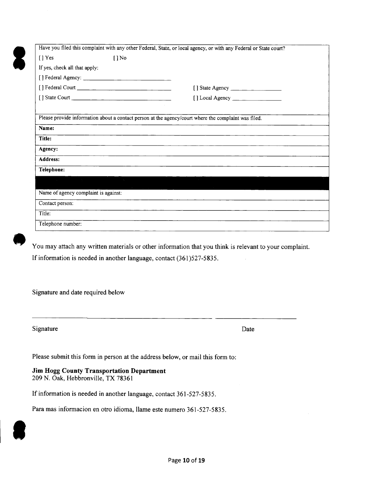

|                                      |                                                                                 | Have you filed this complaint with any other Federal, State, or local agency, or with any Federal or State court? |  |  |
|--------------------------------------|---------------------------------------------------------------------------------|-------------------------------------------------------------------------------------------------------------------|--|--|
| [] Yes                               | $[ ]$ No                                                                        |                                                                                                                   |  |  |
| If yes, check all that apply:        |                                                                                 |                                                                                                                   |  |  |
|                                      | $[ ]$ Federal Agency: $\qquad \qquad$                                           |                                                                                                                   |  |  |
|                                      |                                                                                 |                                                                                                                   |  |  |
|                                      |                                                                                 |                                                                                                                   |  |  |
|                                      |                                                                                 | Please provide information about a contact person at the agency/court where the complaint was filed.              |  |  |
| Name:                                |                                                                                 |                                                                                                                   |  |  |
| Title:                               |                                                                                 |                                                                                                                   |  |  |
| Agency:                              |                                                                                 |                                                                                                                   |  |  |
| Address:                             |                                                                                 |                                                                                                                   |  |  |
| Telephone:                           |                                                                                 |                                                                                                                   |  |  |
|                                      | the contract of the contract of the contract of the contract of the contract of |                                                                                                                   |  |  |
| Name of agency complaint is against: |                                                                                 |                                                                                                                   |  |  |
| Contact person:                      |                                                                                 |                                                                                                                   |  |  |
| Title:                               |                                                                                 |                                                                                                                   |  |  |
| Telephone number:                    |                                                                                 |                                                                                                                   |  |  |
|                                      |                                                                                 |                                                                                                                   |  |  |



8

You may attach any written materials or other information that you think is relevant to your complaint. If information is needed in another language, contact (361)527-5835.

Signature and date required below

Signature Date

Please submit this form in person at the address below, or mail this form to:

Jim HoggCounty Transportation Department 209 N. Oak, Hebbronville, TX 78361

If information is needed in another language, contact 361-527-5835.

Para mas informacion en otro idioma, llame este numero 361-527-5835.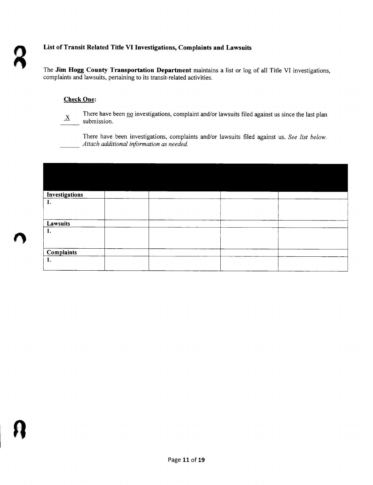The **Jim Hogg County Transportation Department** maintains a list or log of all Title VI investigations, complaints and lawsuits, pertaining to its transit-related activities.

## Check One:

---

There have been no investigations, complaint and/or lawsuits filed against us since the last plan  $\underline{X}$ submission.

There have been investigations, complaints and/or lawsuits filed against us. *See list below. Attach additional information as needed.*

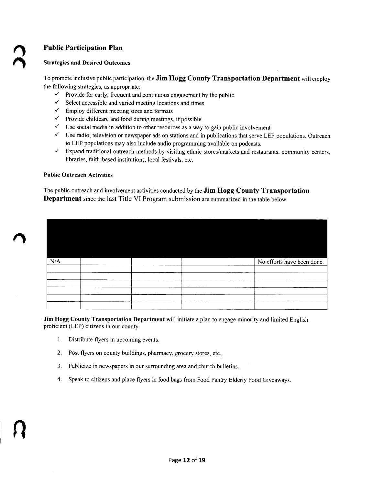## **'l Public Participation Plan**

#### **'" Strategies and Desired Outcomes**

To promote inclusive public participation, the **Jim Hogg County Transportation Department** will employ the following strategies, as appropriate:

- $\checkmark$  Provide for early, frequent and continuous engagement by the public.
- $\checkmark$  Select accessible and varied meeting locations and times
- $\checkmark$  Employ different meeting sizes and formats
- $\checkmark$  Provide childcare and food during meetings, if possible.
- $\checkmark$  Use social media in addition to other resources as a way to gain public involvement
- $\checkmark$  Use radio, television or newspaper ads on stations and in publications that serve LEP populations. Outreach to LEP populations may also include audio programming available on podcasts.
- $\checkmark$  Expand traditional outreach methods by visiting ethnic stores/markets and restaurants, community centers, libraries, faith-based institutions, local festivals, etc.

#### **Public Outreach Activities**

The public outreach and involvement activities conducted by the **Jim Hogg County Transportation Department** since the last Title VI Program submission are summarized in the table below.

| N/A |  | No efforts have been done. |
|-----|--|----------------------------|
|     |  |                            |
|     |  |                            |
|     |  |                            |
|     |  |                            |
|     |  |                            |
|     |  |                            |
|     |  |                            |
|     |  |                            |
|     |  |                            |

**Jim Hogg County Transportation Department** will initiate a plan to engage minority and limited English proficient (LEP) citizens in our county.

- I. Distribute flyers in upcoming events.
- 2. Post flyers on county buildings, pharmacy, grocery stores, etc.
- 3. Publicize in newspapers in our surrounding area and church bulletins.
- 4. Speak to citizens and place flyers in food bags from Food Pantry Elderly Food Giveaways.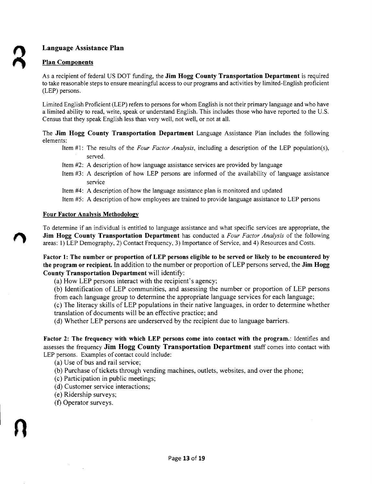## Language Assistance Plan

#### Plan Components

As a recipient of federal US DOT funding, the **Jim Hogg County Transportation Department** is required to take reasonable steps to ensure meaningful access to our programs and activities by limited-English proficient (LEP) persons.

Limited English Proficient (LEP) refers to persons for whom English is not their primary language and who have a limited ability to read, write, speak or understand English. This includes those who have reported to the U.S. Census that they speak English less than very well, not well, or not at all.

The **Jim Hogg County Transportation Department** Language Assistance Plan includes the following elements:

- Item #1: The results of the *Four Factor Analysis,* including a description of the LEP population(s), served.
- Item #2: A description of how language assistance services are provided by language
- Item #3: A description of how LEP persons are informed of the availability of language assistance service
- Item #4: A description of how the language assistance plan is monitored and updated
- Item #5: A description of how employees are trained to provide language assistance to LEP persons

#### Four Factor Analysis Methodology

To determine if an individual is entitled to language assistance and what specific services are appropriate, the Jim Hogg County Transportation Department has conducted a *Four Factor Analysis* of the following areas: I) LEP Demography, 2) Contact Frequency, 3) Importance of Service, and 4) Resources and Costs.

Factor 1: The number or proportion of LEP persons eligible to be served or likely to be encountered by the program or recipient. In addition to the number or proportion of LEP persons served, the Jim Hogg County Transportation Department will identify:

(a) How LEP persons interact with the recipient's agency;

(b) Identification of LEP communities, and assessing the number or proportion of LEP persons from each language group to determine the appropriate language services for each language;

(c) The literacy skills of LEP populations in their native languages, in order to determine whether translation of documents will be an effective practice; and

(d) Whether LEP persons are underserved by the recipient due to language barriers.

Factor 2: The frequency with which LEP persons come into contact with the program.: Identifies and assesses the frequency Jim Hogg County Transportation Department staff comes into contact with LEP persons. Examples of contact could include:

(a) Use of bus and rail service;

- (b) Purchase of tickets through vending machines, outlets, websites, and over the phone;
- (c) Participation in public meetings;
- (d) Customer service interactions;
- (e) Ridership surveys;
- (f) Operator surveys.

n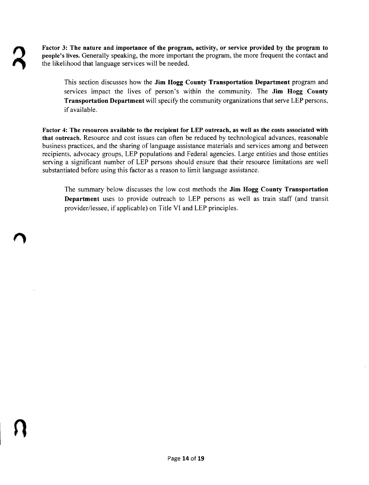Factor 3: The nature and importance of the program, activity, or service provided by the program to people's lives. Generally speaking, the more important the program, the more frequent the contact and the likelihood that language services will be needed.

This section discusses how the Jim Hogg County Transportation Department program and services impact the lives of person's within the community. The Jim Hogg County Transportation Department will specify the community organizations that serve LEP persons, if available.

Factor 4: The resources available to the recipient for LEP outreach, as well as the costs associated with that outreach. Resource and cost issues can often be reduced by technological advances, reasonable business practices, and the sharing of language assistance materials and services among and between recipients, advocacy groups, LEP populations and Federal agencies. Large entities and those entities serving a significant number of LEP persons should ensure that their resource limitations are well substantiated before using this factor as a reason to limit language assistance.

The summary below discusses the low cost methods the Jim Hogg County Transportation Department uses to provide outreach to LEP persons as well as train staff (and transit provider/lessee, if applicable) on Title VI and LEP principles.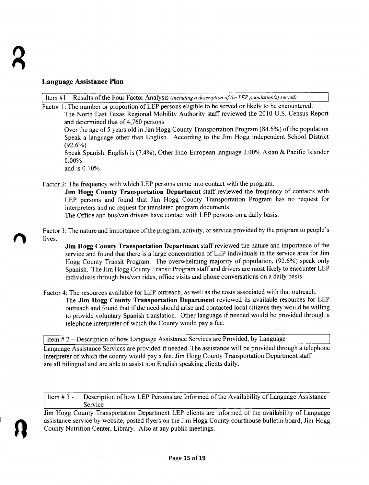## **Language Assistance Plan**

Item #1 - Results of the Four Factor Analysis *(including a description of the LEP population(s) served)* 

Factor 1: The number or proportion of LEP persons eligible to be served or likely to be encountered. The North East Texas Regional Mobility Authority staff reviewed the 2010 U.S. Census Report and determined that of 4,760 persons Over the age of 5 years old in Jim Hogg County Transportation Program (84.6%) of the population

Speak a language other than English. According to the Jim Hogg independent School District (92.6%)

Speak Spanish. English is (7.4%), Other Indo-European language 0.00% Asian & Pacific Islander 0.00%

and is 0.10%.

Factor 2: The frequency with which LEP persons come into contact with the program.

**Jim Hogg County Transportation Department** staff reviewed the frequency of contacts with LEP persons and found that Jim Hogg County Transportation Program has no request for interpreters and no request for translated program documents.

The Office and bus/van drivers have contact with LEP persons on a daily basis.

Factor 3: The nature and importance of the program, activity, or service provided by the programto people's lives.

**Jim Hogg County Transportation Department** staff reviewed the nature and importance of the service and found that there is a large concentration of LEP individuals in the service area for Jim Hogg County Transit Program. The overwhelming majority of population, (92.6%) speak only Spanish. The Jim Hogg County Transit Program staff and drivers are most likely to encounter LEP individuals through bus/van rides, office visits and phone conversations on a daily basis.

Factor 4: The resources available for LEP outreach, as well as the costs associated with that outreach.

The **Jim Hogg County Transportation Department** reviewed its available resources for LEP outreach and found that if the need should arise and contacted local citizens they would be willing to provide voluntary Spanish translation. Other language if needed would be provided through a telephone interpreter of which the County would pay a fee.

Item # 2 - Description of how Language Assistance Services are Provided, by Language

Language Assistance Services are provided if needed. The assistance will be provided through a telephone interpreter of which the county would pay a fee. Jim Hogg County Transportation Department staff are all bilingual and are able to assist non English speaking clients daily.

Item # 3 - Description of how LEP Persons are Informed of the Availability of Language Assistance Service

Jim Hogg County Transportation Department LEP clients are informed of the availability of Language assistance service by website, posted flyers on the Jim Hogg County courthouse bulletin board, Jim Hogg County Nutrition Center, Library. Also at any public meetings.

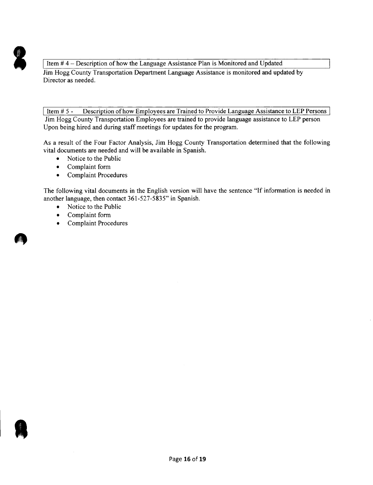

Item  $# 4$  – Description of how the Language Assistance Plan is Monitored and Updated Jim Hogg County Transportation Department Language Assistance is monitored and updated by Director as needed.

Item # 5 - Description of how Employees are Trained to Provide Language Assistance to LEP Persons Jim Hogg County Transportation Employees are trained to provide language assistance to LEP person Upon being hired and during staff meetings for updates for the program.

As a result of the Four Factor Analysis, Jim Hogg County Transportation determined that the following vital documents are needed and will be available in Spanish.

- Notice to the Public
- Complaint form
- Complaint Procedures

The following vital documents in the English version will have the sentence "If information is needed in another language, then contact 361-527-5835" in Spanish.

- Notice to the Public
- Complaint form
- Complaint Procedures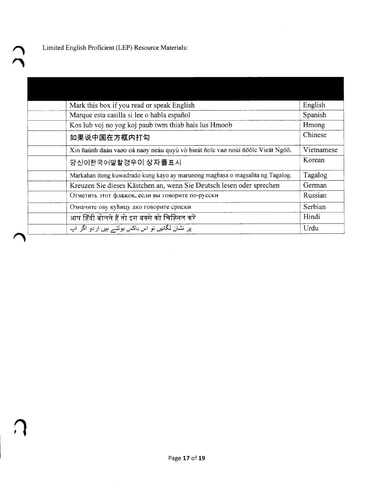$\bigcap$ 

| Mark this box if you read or speak English                                     | English    |
|--------------------------------------------------------------------------------|------------|
| Marque esta casilla si lee o habla español                                     | Spanish    |
| Kos lub voj no yog koj paub twm thiab hais lus Hmoob                           | Hmong      |
| 如果说中国在方框内打勾                                                                    | Chinese    |
| Xin ñaùnh daáu vaøo oâ naøy neáu quyù vò bieát ñoïc vaø noùi ñöôïc Vieät Ngöõ. | Vietnamese |
| 당신이한국어말할경우이 상자를표시                                                              | Korean     |
| Markahan itong kuwadrado kung kayo ay marunong magbasa o magsalita ng Tagalog. | Tagalog    |
| Kreuzen Sie dieses Kästchen an, wenn Sie Deutsch lesen oder sprechen           | German     |
| Отметить этот флажок, если вы говорите по-русски                               | Russian    |
| Означите ову кућицу ако говорите српски                                        | Serbian    |
| आप हिंदी बोलते हैं तो इस बक्से को चिह्नित करें                                 | Hindi      |
| پر نشان لگائیں تو اس باکس بولتے ہیں اردو اگر آپ                                | Urdu       |

 $\sim$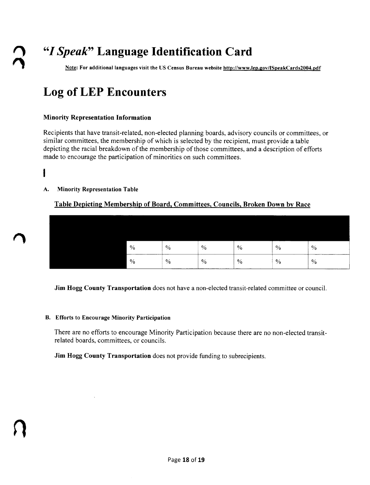## *"/ Speak"* **Language Identification Card**

Note: For additional languages visit the US Census Bureau website http://www.lep.gov/ISpeakCards2004.pdf

## **Log of LEP Encounters**

## Minority Representation Information

Recipients that have transit-related, non-elected planning boards, advisory councils or committees, or similar committees, the membership of which is selected by the recipient, must provide a table depicting the racial breakdown of the membership of those committees, and a description of efforts made to encourage the participation of minorities on such committees.

# I

n

## A. Minority Representation Table

## Table Depicting Membership of Board, Committees, Councils, Broken Down by Race

| $\frac{0}{6}$ |               | $\%$          | $\%$          | $\frac{0}{6}$ |  |
|---------------|---------------|---------------|---------------|---------------|--|
| $\%$          | $\frac{0}{6}$ | $\frac{0}{6}$ | $\frac{0}{6}$ | $\frac{0}{6}$ |  |
|               |               | $\frac{0}{6}$ |               |               |  |

Jim Hogg County Transportation does not have a non-elected transit-related committee or council.

## B. Efforts to Encourage Minority Participation

There are no efforts to encourage Minority Participation because there are no non-elected transitrelated boards, committees, or councils.

Jim Hogg County Transportation does not provide funding to subrecipients.